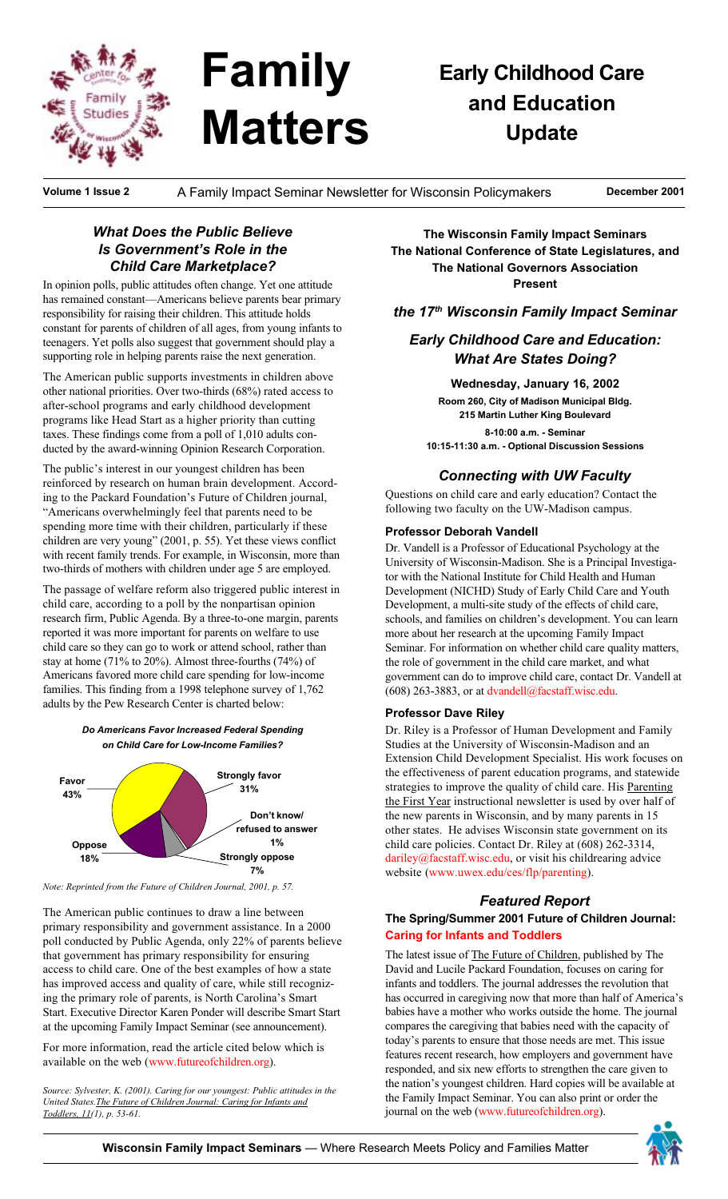

# **Family Matters**

## **Early Childhood Care** and Education **Update**

Volume 1 Issue 2

A Family Impact Seminar Newsletter for Wisconsin Policymakers

December 2001

#### **What Does the Public Believe** Is Government's Role in the **Child Care Marketplace?**

In opinion polls, public attitudes often change. Yet one attitude has remained constant-Americans believe parents bear primary responsibility for raising their children. This attitude holds constant for parents of children of all ages, from young infants to teenagers. Yet polls also suggest that government should play a supporting role in helping parents raise the next generation.

The American public supports investments in children above other national priorities. Over two-thirds (68%) rated access to after-school programs and early childhood development programs like Head Start as a higher priority than cutting taxes. These findings come from a poll of 1,010 adults conducted by the award-winning Opinion Research Corporation.

The public's interest in our youngest children has been reinforced by research on human brain development. According to the Packard Foundation's Future of Children journal, "Americans overwhelmingly feel that parents need to be spending more time with their children, particularly if these children are very young" (2001, p. 55). Yet these views conflict with recent family trends. For example, in Wisconsin, more than two-thirds of mothers with children under age 5 are employed.

The passage of welfare reform also triggered public interest in child care, according to a poll by the nonpartisan opinion research firm, Public Agenda. By a three-to-one margin, parents reported it was more important for parents on welfare to use child care so they can go to work or attend school, rather than stay at home (71% to 20%). Almost three-fourths (74%) of Americans favored more child care spending for low-income families. This finding from a 1998 telephone survey of 1,762 adults by the Pew Research Center is charted below:





Note: Reprinted from the Future of Children Journal, 2001, p. 57.

The American public continues to draw a line between primary responsibility and government assistance. In a 2000 poll conducted by Public Agenda, only 22% of parents believe that government has primary responsibility for ensuring access to child care. One of the best examples of how a state has improved access and quality of care, while still recognizing the primary role of parents, is North Carolina's Smart Start. Executive Director Karen Ponder will describe Smart Start at the upcoming Family Impact Seminar (see announcement).

For more information, read the article cited below which is available on the web (www.futureofchildren.org).

Source: Sylvester, K. (2001). Caring for our youngest: Public attitudes in the United States. The Future of Children Journal: Caring for Infants and Toddlers, 11(1), p. 53-61.

The Wisconsin Family Impact Seminars The National Conference of State Legislatures, and The National Governors Association **Present** 

the 17<sup>th</sup> Wisconsin Family Impact Seminar

#### **Early Childhood Care and Education: What Are States Doing?**

Wednesday, January 16, 2002 Room 260, City of Madison Municipal Bldg. 215 Martin Luther King Boulevard

8-10:00 a.m. - Seminar 10:15-11:30 a.m. - Optional Discussion Sessions

#### **Connecting with UW Faculty**

Questions on child care and early education? Contact the following two faculty on the UW-Madison campus.

#### **Professor Deborah Vandell**

Dr. Vandell is a Professor of Educational Psychology at the University of Wisconsin-Madison. She is a Principal Investigator with the National Institute for Child Health and Human Development (NICHD) Study of Early Child Care and Youth Development, a multi-site study of the effects of child care, schools, and families on children's development. You can learn more about her research at the upcoming Family Impact Seminar. For information on whether child care quality matters, the role of government in the child care market, and what government can do to improve child care, contact Dr. Vandell at (608) 263-3883, or at dvandell@facstaff.wisc.edu.

#### **Professor Dave Riley**

Dr. Riley is a Professor of Human Development and Family Studies at the University of Wisconsin-Madison and an Extension Child Development Specialist. His work focuses on the effectiveness of parent education programs, and statewide strategies to improve the quality of child care. His Parenting the First Year instructional newsletter is used by over half of the new parents in Wisconsin, and by many parents in 15 other states. He advises Wisconsin state government on its child care policies. Contact Dr. Riley at (608) 262-3314, dariley@facstaff.wisc.edu, or visit his childrearing advice website (www.uwex.edu/ces/flp/parenting).

#### **Featured Report**

#### The Spring/Summer 2001 Future of Children Journal: **Caring for Infants and Toddlers**

The latest issue of The Future of Children, published by The David and Lucile Packard Foundation, focuses on caring for infants and toddlers. The journal addresses the revolution that has occurred in caregiving now that more than half of America's babies have a mother who works outside the home. The journal compares the caregiving that babies need with the capacity of today's parents to ensure that those needs are met. This issue features recent research, how employers and government have responded, and six new efforts to strengthen the care given to the nation's youngest children. Hard copies will be available at the Family Impact Seminar. You can also print or order the journal on the web (www.futureofchildren.org).